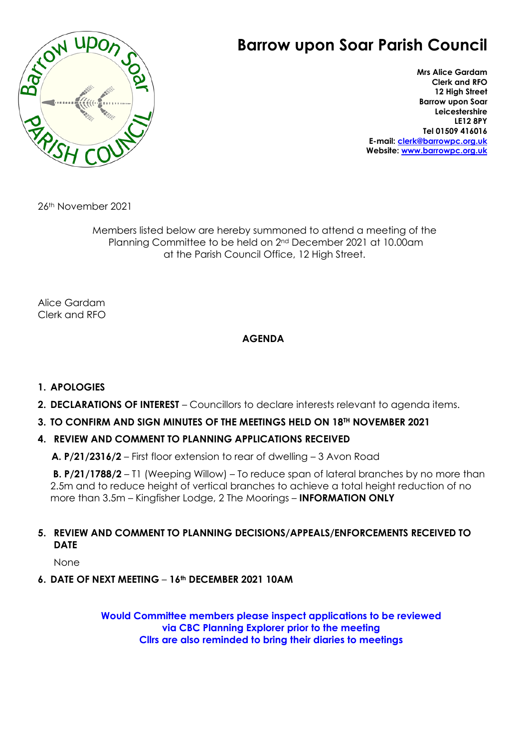# $B_{\bar{Q}}$

# **Barrow upon Soar Parish Council**

**Mrs Alice Gardam Clerk and RFO 12 High Street Barrow upon Soar Leicestershire LE12 8PY Tel 01509 416016 E-mail: [clerk@barrowpc.org.uk](mailto:clerk@barrowpc.org.uk) Website: [www.barrowpc.org.uk](http://www.barrowpc.org.uk/)**

26th November 2021

Members listed below are hereby summoned to attend a meeting of the Planning Committee to be held on 2nd December 2021 at 10.00am at the Parish Council Office, 12 High Street.

Alice Gardam Clerk and RFO

# **AGENDA**

# **1. APOLOGIES**

- **2. DECLARATIONS OF INTEREST** Councillors to declare interests relevant to agenda items.
- **3. TO CONFIRM AND SIGN MINUTES OF THE MEETINGS HELD ON 18TH NOVEMBER 2021**

### **4. REVIEW AND COMMENT TO PLANNING APPLICATIONS RECEIVED**

**A. P/21/2316/2** – First floor extension to rear of dwelling – 3 Avon Road

**B. P/21/1788/2** – T1 (Weeping Willow) – To reduce span of lateral branches by no more than 2.5m and to reduce height of vertical branches to achieve a total height reduction of no more than 3.5m – Kingfisher Lodge, 2 The Moorings – **INFORMATION ONLY**

### **5. REVIEW AND COMMENT TO PLANNING DECISIONS/APPEALS/ENFORCEMENTS RECEIVED TO DATE**

None

**6. DATE OF NEXT MEETING** – **16th DECEMBER 2021 10AM**

**Would Committee members please inspect applications to be reviewed via CBC Planning Explorer prior to the meeting Cllrs are also reminded to bring their diaries to meetings**